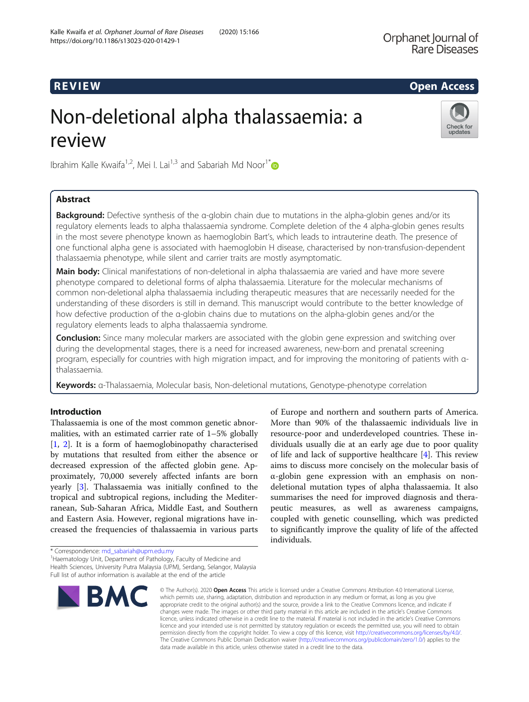# R EVI EW Open Access

# Non-deletional alpha thalassaemia: a review



Ibrahim Kalle Kwaifa<sup>1,2</sup>, Mei I. Lai<sup>1,3</sup> and Sabariah Md Noor<sup>1[\\*](http://orcid.org/0000-0002-2292-5149)</sup>

# Abstract

Background: Defective synthesis of the α-globin chain due to mutations in the alpha-globin genes and/or its regulatory elements leads to alpha thalassaemia syndrome. Complete deletion of the 4 alpha-globin genes results in the most severe phenotype known as haemoglobin Bart's, which leads to intrauterine death. The presence of one functional alpha gene is associated with haemoglobin H disease, characterised by non-transfusion-dependent thalassaemia phenotype, while silent and carrier traits are mostly asymptomatic.

Main body: Clinical manifestations of non-deletional in alpha thalassaemia are varied and have more severe phenotype compared to deletional forms of alpha thalassaemia. Literature for the molecular mechanisms of common non-deletional alpha thalassaemia including therapeutic measures that are necessarily needed for the understanding of these disorders is still in demand. This manuscript would contribute to the better knowledge of how defective production of the α-globin chains due to mutations on the alpha-globin genes and/or the regulatory elements leads to alpha thalassaemia syndrome.

**Conclusion:** Since many molecular markers are associated with the globin gene expression and switching over during the developmental stages, there is a need for increased awareness, new-born and prenatal screening program, especially for countries with high migration impact, and for improving the monitoring of patients with αthalassaemia.

Keywords: α-Thalassaemia, Molecular basis, Non-deletional mutations, Genotype-phenotype correlation

## Introduction

Thalassaemia is one of the most common genetic abnormalities, with an estimated carrier rate of 1–5% globally [[1,](#page-9-0) [2](#page-10-0)]. It is a form of haemoglobinopathy characterised by mutations that resulted from either the absence or decreased expression of the affected globin gene. Approximately, 70,000 severely affected infants are born yearly [\[3](#page-10-0)]. Thalassaemia was initially confined to the tropical and subtropical regions, including the Mediterranean, Sub-Saharan Africa, Middle East, and Southern and Eastern Asia. However, regional migrations have increased the frequencies of thalassaemia in various parts

of Europe and northern and southern parts of America. More than 90% of the thalassaemic individuals live in resource-poor and underdeveloped countries. These individuals usually die at an early age due to poor quality of life and lack of supportive healthcare [[4\]](#page-10-0). This review aims to discuss more concisely on the molecular basis of α-globin gene expression with an emphasis on nondeletional mutation types of alpha thalassaemia. It also summarises the need for improved diagnosis and therapeutic measures, as well as awareness campaigns, coupled with genetic counselling, which was predicted to significantly improve the quality of life of the affected individuals.

<sup>1</sup> Haematology Unit, Department of Pathology, Faculty of Medicine and Health Sciences, University Putra Malaysia (UPM), Serdang, Selangor, Malaysia

Full list of author information is available at the end of the article



<sup>©</sup> The Author(s), 2020 **Open Access** This article is licensed under a Creative Commons Attribution 4.0 International License, which permits use, sharing, adaptation, distribution and reproduction in any medium or format, as long as you give appropriate credit to the original author(s) and the source, provide a link to the Creative Commons licence, and indicate if changes were made. The images or other third party material in this article are included in the article's Creative Commons licence, unless indicated otherwise in a credit line to the material. If material is not included in the article's Creative Commons licence and your intended use is not permitted by statutory regulation or exceeds the permitted use, you will need to obtain permission directly from the copyright holder. To view a copy of this licence, visit [http://creativecommons.org/licenses/by/4.0/.](http://creativecommons.org/licenses/by/4.0/) The Creative Commons Public Domain Dedication waiver [\(http://creativecommons.org/publicdomain/zero/1.0/](http://creativecommons.org/publicdomain/zero/1.0/)) applies to the data made available in this article, unless otherwise stated in a credit line to the data.

<sup>\*</sup> Correspondence: [md\\_sabariah@upm.edu.my](mailto:md_sabariah@upm.edu.my) <sup>1</sup>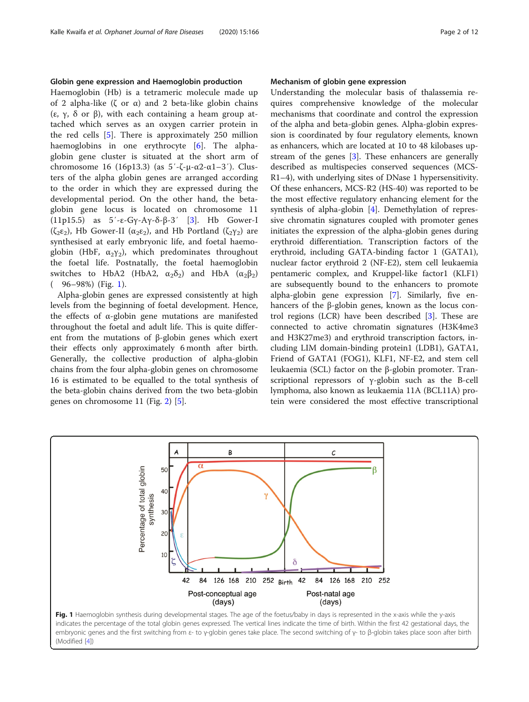#### Globin gene expression and Haemoglobin production

Haemoglobin (Hb) is a tetrameric molecule made up of 2 alpha-like (ζ or α) and 2 beta-like globin chains (ε, γ, δ or β), with each containing a heam group attached which serves as an oxygen carrier protein in the red cells [[5\]](#page-10-0). There is approximately 250 million haemoglobins in one erythrocyte [\[6](#page-10-0)]. The alphaglobin gene cluster is situated at the short arm of chromosome 16 (16p13.3) (as  $5'$ -ζ-μ-α2-α1-3'). Clusters of the alpha globin genes are arranged according to the order in which they are expressed during the developmental period. On the other hand, the betaglobin gene locus is located on chromosome 11 (11p15.5) as 5′-ε-Gγ-Aγ-δ-β-3′ [[3\]](#page-10-0). Hb Gower-I ( $\zeta_2 \varepsilon_2$ ), Hb Gower-II ( $\alpha_2 \varepsilon_2$ ), and Hb Portland ( $\zeta_2 \gamma_2$ ) are synthesised at early embryonic life, and foetal haemoglobin (HbF,  $\alpha_2 \gamma_2$ ), which predominates throughout the foetal life. Postnatally, the foetal haemoglobin switches to HbA2 (HbA2,  $\alpha_2\delta_2$ ) and HbA  $(\alpha_2\beta_2)$  $(96-98%)$  (Fig. 1).

Alpha-globin genes are expressed consistently at high levels from the beginning of foetal development. Hence, the effects of α-globin gene mutations are manifested throughout the foetal and adult life. This is quite different from the mutations of β-globin genes which exert their effects only approximately 6 month after birth. Generally, the collective production of alpha-globin chains from the four alpha-globin genes on chromosome 16 is estimated to be equalled to the total synthesis of the beta-globin chains derived from the two beta-globin genes on chromosome 11 (Fig. [2](#page-2-0)) [[5](#page-10-0)].

(Modified [[4](#page-10-0)])

#### Mechanism of globin gene expression

Understanding the molecular basis of thalassemia requires comprehensive knowledge of the molecular mechanisms that coordinate and control the expression of the alpha and beta-globin genes. Alpha-globin expression is coordinated by four regulatory elements, known as enhancers, which are located at 10 to 48 kilobases upstream of the genes [\[3](#page-10-0)]. These enhancers are generally described as multispecies conserved sequences (MCS-R1–4), with underlying sites of DNase 1 hypersensitivity. Of these enhancers, MCS-R2 (HS-40) was reported to be the most effective regulatory enhancing element for the synthesis of alpha-globin [\[4](#page-10-0)]. Demethylation of repressive chromatin signatures coupled with promoter genes initiates the expression of the alpha-globin genes during erythroid differentiation. Transcription factors of the erythroid, including GATA-binding factor 1 (GATA1), nuclear factor erythroid 2 (NF-E2), stem cell leukaemia pentameric complex, and Kruppel-like factor1 (KLF1) are subsequently bound to the enhancers to promote alpha-globin gene expression [[7\]](#page-10-0). Similarly, five enhancers of the β-globin genes, known as the locus control regions (LCR) have been described  $[3]$  $[3]$ . These are connected to active chromatin signatures (H3K4me3 and H3K27me3) and erythroid transcription factors, including LIM domain-binding protein1 (LDB1), GATA1, Friend of GATA1 (FOG1), KLF1, NF-E2, and stem cell leukaemia (SCL) factor on the β-globin promoter. Transcriptional repressors of γ-globin such as the B-cell lymphoma, also known as leukaemia 11A (BCL11A) protein were considered the most effective transcriptional

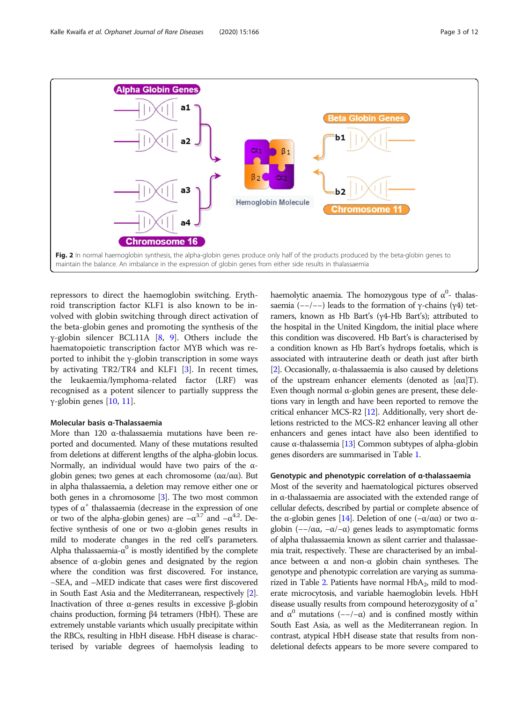<span id="page-2-0"></span>

repressors to direct the haemoglobin switching. Erythroid transcription factor KLF1 is also known to be involved with globin switching through direct activation of the beta-globin genes and promoting the synthesis of the γ-globin silencer BCL11A [[8,](#page-10-0) [9](#page-10-0)]. Others include the haematopoietic transcription factor MYB which was reported to inhibit the γ-globin transcription in some ways by activating TR2/TR4 and KLF1 [[3\]](#page-10-0). In recent times, the leukaemia/lymphoma-related factor (LRF) was recognised as a potent silencer to partially suppress the γ-globin genes [\[10](#page-10-0), [11](#page-10-0)].

#### Molecular basis α-Thalassaemia

More than 120 α-thalassaemia mutations have been reported and documented. Many of these mutations resulted from deletions at different lengths of the alpha-globin locus. Normally, an individual would have two pairs of the αglobin genes; two genes at each chromosome ( $αα/αα$ ). But in alpha thalassaemia, a deletion may remove either one or both genes in a chromosome [\[3\]](#page-10-0). The two most common types of  $α<sup>+</sup>$  thalassaemia (decrease in the expression of one or two of the alpha-globin genes) are  $-\alpha^{3.7}$  and  $-\alpha^{4.2}$ . Defective synthesis of one or two α-globin genes results in mild to moderate changes in the red cell's parameters. Alpha thalassaemia- $\alpha^0$  is mostly identified by the complete absence of  $\alpha$ -globin genes and designated by the region where the condition was first discovered. For instance, −SEA, and –MED indicate that cases were first discovered in South East Asia and the Mediterranean, respectively [[2](#page-10-0)]. Inactivation of three α-genes results in excessive β-globin chains production, forming β4 tetramers (HbH). These are extremely unstable variants which usually precipitate within the RBCs, resulting in HbH disease. HbH disease is characterised by variable degrees of haemolysis leading to

haemolytic anaemia. The homozygous type of  $\alpha^0$ - thalassaemia (--/--) leads to the formation of γ-chains (γ4) tetramers, known as Hb Bart's (γ4-Hb Bart's); attributed to the hospital in the United Kingdom, the initial place where this condition was discovered. Hb Bart's is characterised by a condition known as Hb Bart's hydrops foetalis, which is associated with intrauterine death or death just after birth [[2](#page-10-0)]. Occasionally,  $\alpha$ -thalassaemia is also caused by deletions of the upstream enhancer elements (denoted as  $[αα]T$ ). Even though normal α-globin genes are present, these deletions vary in length and have been reported to remove the critical enhancer MCS-R2 [\[12\]](#page-10-0). Additionally, very short deletions restricted to the MCS-R2 enhancer leaving all other enhancers and genes intact have also been identified to cause α-thalassemia [\[13](#page-10-0)] Common subtypes of alpha-globin genes disorders are summarised in Table [1.](#page-3-0)

#### Genotypic and phenotypic correlation of α-thalassaemia

Most of the severity and haematological pictures observed in α-thalassaemia are associated with the extended range of cellular defects, described by partial or complete absence of the α-globin genes [\[14\]](#page-10-0). Deletion of one ( $-\alpha/\alpha\alpha$ ) or two αglobin ( $-\alpha$ α,  $-\alpha$ / $-\alpha$ ) genes leads to asymptomatic forms of alpha thalassaemia known as silent carrier and thalassaemia trait, respectively. These are characterised by an imbalance between  $α$  and non- $α$  globin chain syntheses. The genotype and phenotypic correlation are varying as summa-rized in Table [2](#page-3-0). Patients have normal  $HbA_2$ , mild to moderate microcytosis, and variable haemoglobin levels. HbH disease usually results from compound heterozygosity of  $\alpha^+$ and  $\alpha^0$  mutations (--/- $\alpha$ ) and is confined mostly within South East Asia, as well as the Mediterranean region. In contrast, atypical HbH disease state that results from nondeletional defects appears to be more severe compared to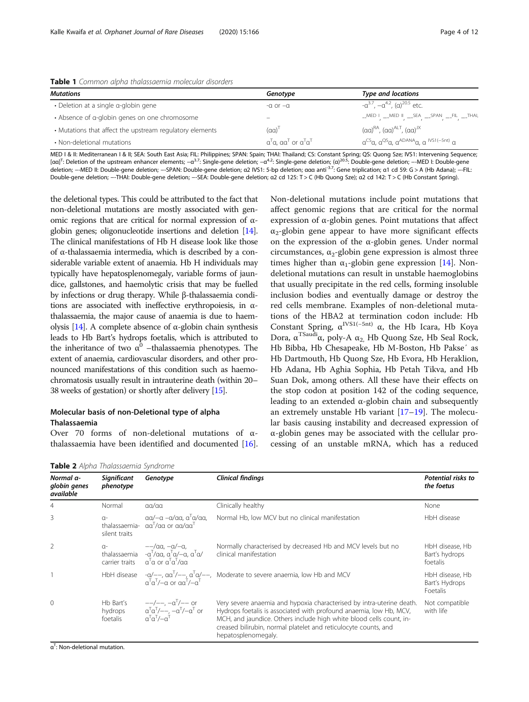<span id="page-3-0"></span>

|  |  | Table 1 Common alpha thalassaemia molecular disorders |  |
|--|--|-------------------------------------------------------|--|
|  |  |                                                       |  |

| <b>Mutations</b>                                         | Genotype                                            | <b>Type and locations</b>                                     |
|----------------------------------------------------------|-----------------------------------------------------|---------------------------------------------------------------|
| • Deletion at a single g-globin gene                     | $-\alpha$ or $-\alpha$                              | $-\alpha^{3.7}, -\alpha^{4.2}, (\alpha)^{20.5}$ etc.          |
| • Absence of a-globin genes on one chromosome            |                                                     | $\_$ MED I $\_$ MED II $\_$ SEA $\_$ SPAN $\_$ FIL $\_$ THAI, |
| • Mutations that affect the upstream regulatory elements | $(\alpha \alpha)^{\perp}$                           | $(a\alpha)^{RA}$ , $(a\alpha)^{ALL}$ , $(a\alpha)^{IX}$       |
| • Non-deletional mutations                               | $\alpha^T$ a, a $\alpha^T$ or $\alpha^T$ $\alpha^T$ | $a^{CS}a$ , $a^{QS}a$ , $a^{ADANA}a$ , $a^{NS1(-5nt)}a$       |

MED I & II: Mediterranean I & II; SEA: South East Asia; FIL: Philippines; SPAN: Spain; THAI: Thailand; CS: Constant Spring; QS: Quong Sze; IVS1: Intervening Sequence; [αα]<sup>T</sup>: Deletion of the upstream enhancer elements; −α<sup>3.7</sup>: Single-gene deletion; −α<sup>4.2</sup>: Single-gene deletion; (α)<sup>20.5</sup>: Double-gene deletion; −-MED I: Double-gene deletion; --MED II: Double-gene deletion; --SPAN: Double-gene deletion; α2 IVS1: 5-bp deletion; ααα anti<sup>-3.7</sup>: Gene triplication; α1 cd 59: G > A (Hb Adana); --FIL: Double-gene deletion; −-THAI: Double-gene deletion; −-SEA: Double-gene deletion; α2 cd 125: T > C (Hb Quong Sze); α2 cd 142: T > C (Hb Constant Spring).

the deletional types. This could be attributed to the fact that non-deletional mutations are mostly associated with genomic regions that are critical for normal expression of αglobin genes; oligonucleotide insertions and deletion [\[14](#page-10-0)]. The clinical manifestations of Hb H disease look like those of α-thalassaemia intermedia, which is described by a considerable variable extent of anaemia. Hb H individuals may typically have hepatosplenomegaly, variable forms of jaundice, gallstones, and haemolytic crisis that may be fuelled by infections or drug therapy. While β-thalassaemia conditions are associated with ineffective erythropoiesis, in αthalassaemia, the major cause of anaemia is due to haem-olysis [\[14](#page-10-0)]. A complete absence of α-globin chain synthesis leads to Hb Bart's hydrops foetalis, which is attributed to the inheritance of two  $\alpha^0$  –thalassaemia phenotypes. The extent of anaemia, cardiovascular disorders, and other pronounced manifestations of this condition such as haemochromatosis usually result in intrauterine death (within 20– 38 weeks of gestation) or shortly after delivery [\[15\]](#page-10-0).

#### Molecular basis of non-Deletional type of alpha Thalassaemia

Over 70 forms of non-deletional mutations of αthalassaemia have been identified and documented [\[16](#page-10-0)].

Non-deletional mutations include point mutations that affect genomic regions that are critical for the normal expression of α-globin genes. Point mutations that affect  $\alpha_2$ -globin gene appear to have more significant effects on the expression of the  $\alpha$ -globin genes. Under normal circumstances,  $\alpha_2$ -globin gene expression is almost three times higher than  $\alpha_1$ -globin gene expression [[14\]](#page-10-0). Nondeletional mutations can result in unstable haemoglobins that usually precipitate in the red cells, forming insoluble inclusion bodies and eventually damage or destroy the red cells membrane. Examples of non-deletional mutations of the HBA2 at termination codon include: Hb Constant Spring,  $\alpha^{IVS1(-5nt)}$  α, the Hb Icara, Hb Koya Dora, α<sup>TSaudi</sup>α, poly-A  $\alpha_2$  Hb Quong Sze, Hb Seal Rock, Hb Bibba, Hb Chesapeake, Hb M-Boston, Hb Pakse′ as Hb Dartmouth, Hb Quong Sze, Hb Evora, Hb Heraklion, Hb Adana, Hb Aghia Sophia, Hb Petah Tikva, and Hb Suan Dok, among others. All these have their effects on the stop codon at position 142 of the coding sequence, leading to an extended  $\alpha$ -globin chain and subsequently an extremely unstable Hb variant  $[17-19]$  $[17-19]$  $[17-19]$  $[17-19]$  $[17-19]$ . The molecular basis causing instability and decreased expression of α-globin genes may be associated with the cellular processing of an unstable mRNA, which has a reduced

| Normal a-<br>globin genes<br>available | <b>Significant</b><br>phenotype  | Genotype                                                                                                                                                    | <b>Clinical findings</b>                                                                                                                                                                                                                                                                                     | Potential risks to<br>the foetus              |
|----------------------------------------|----------------------------------|-------------------------------------------------------------------------------------------------------------------------------------------------------------|--------------------------------------------------------------------------------------------------------------------------------------------------------------------------------------------------------------------------------------------------------------------------------------------------------------|-----------------------------------------------|
| 4                                      | Normal                           | $\alpha\alpha/\alpha\alpha$                                                                                                                                 | Clinically healthy                                                                                                                                                                                                                                                                                           | None                                          |
| 3                                      | $\Omega$ -<br>silent traits      | $\alpha\alpha$ / $-\alpha$ $-\alpha/\alpha\alpha$ , $\alpha^{\dagger}\alpha/\alpha\alpha$ ,<br>thalassaemia- $\alpha a^T/\alpha a$ or $\alpha a/\alpha a^T$ | Normal Hb, low MCV but no clinical manifestation                                                                                                                                                                                                                                                             | HbH disease                                   |
| $\mathcal{P}$                          | $\Omega$ -                       | $-\alpha$ aa, $-\alpha$ $-\alpha$ ,<br>thalassaemia - $a^T/aa$ , $a^Ta/-a$ , $a^Ta/$<br>carrier traits $a^T a$ or $a^T a^T/a a$                             | Normally characterised by decreased Hb and MCV levels but no<br>clinical manifestation                                                                                                                                                                                                                       | HbH disease, Hb<br>Bart's hydrops<br>foetalis |
|                                        |                                  |                                                                                                                                                             | HbH disease $-a/-$ , $\alpha a^T$ /--, $\alpha^T a$ /--, Moderate to severe anaemia, low Hb and MCV $\alpha^T a^T$ /- $\alpha$ or $\alpha a^T$ /- $\alpha^T$                                                                                                                                                 | HbH disease, Hb<br>Bart's Hydrops<br>Foetalis |
| $\Omega$                               | Hb Bart's<br>hydrops<br>foetalis | $-$ /--, $-\alpha^{T}$ /-- or<br>$\alpha^T \alpha^T$ /---, $-\alpha^T$ /- $\alpha^T$ or $\alpha^T \alpha^T$ /- $\alpha^T$                                   | Very severe anaemia and hypoxia characterised by intra-uterine death.<br>Hydrops foetalis is associated with profound anaemia, low Hb, MCV,<br>MCH, and jaundice. Others include high white blood cells count, in-<br>creased bilirubin, normal platelet and reticulocyte counts, and<br>hepatosplenomegaly. | Not compatible<br>with life                   |

Table 2 Alpha Thalassaemia Syndrome

α<sup>T</sup>: Non-deletional mutation.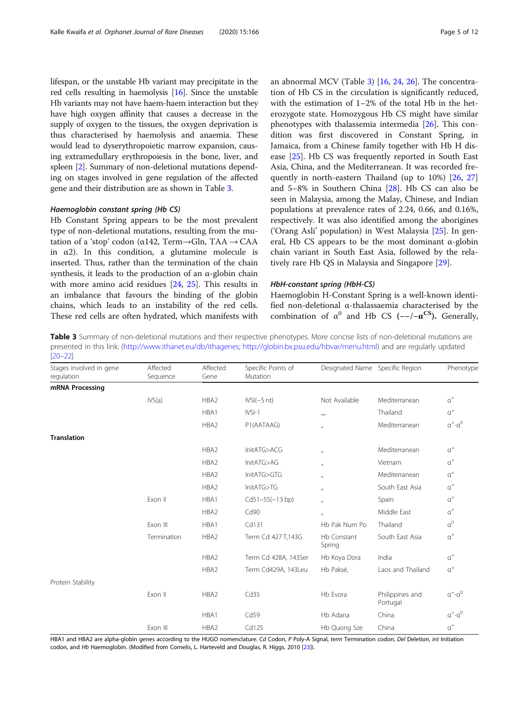<span id="page-4-0"></span>lifespan, or the unstable Hb variant may precipitate in the red cells resulting in haemolysis [\[16\]](#page-10-0). Since the unstable Hb variants may not have haem-haem interaction but they have high oxygen affinity that causes a decrease in the supply of oxygen to the tissues, the oxygen deprivation is thus characterised by haemolysis and anaemia. These would lead to dyserythropoietic marrow expansion, causing extramedullary erythropoiesis in the bone, liver, and spleen [\[2\]](#page-10-0). Summary of non-deletional mutations depending on stages involved in gene regulation of the affected gene and their distribution are as shown in Table 3.

#### Haemoglobin constant spring (Hb CS)

Hb Constant Spring appears to be the most prevalent type of non-deletional mutations, resulting from the mutation of a 'stop' codon (α142, Term→Gln, TAA → CAA in  $\alpha$ 2). In this condition, a glutamine molecule is inserted. Thus, rather than the termination of the chain synthesis, it leads to the production of an  $\alpha$ -globin chain with more amino acid residues [[24](#page-10-0), [25](#page-10-0)]. This results in an imbalance that favours the binding of the globin chains, which leads to an instability of the red cells. These red cells are often hydrated, which manifests with an abnormal MCV (Table 3) [[16,](#page-10-0) [24](#page-10-0), [26](#page-10-0)]. The concentration of Hb CS in the circulation is significantly reduced, with the estimation of 1–2% of the total Hb in the heterozygote state. Homozygous Hb CS might have similar phenotypes with thalassemia intermedia [[26\]](#page-10-0). This condition was first discovered in Constant Spring, in Jamaica, from a Chinese family together with Hb H disease [[25](#page-10-0)]. Hb CS was frequently reported in South East Asia, China, and the Mediterranean. It was recorded frequently in north-eastern Thailand (up to 10%) [\[26](#page-10-0), [27](#page-10-0)] and 5–8% in Southern China [\[28](#page-10-0)]. Hb CS can also be seen in Malaysia, among the Malay, Chinese, and Indian populations at prevalence rates of 2.24, 0.66, and 0.16%, respectively. It was also identified among the aborigines ('Orang Asli' population) in West Malaysia [[25](#page-10-0)]. In general, Hb CS appears to be the most dominant α-globin chain variant in South East Asia, followed by the relatively rare Hb QS in Malaysia and Singapore [[29](#page-10-0)].

#### HbH-constant spring (HbH-CS)

Haemoglobin H-Constant Spring is a well-known identified non-deletional α-thalassaemia characterised by the combination of  $\alpha^0$  and Hb CS (--/- $\alpha^{\text{CS}}$ ). Generally,

Table 3 Summary of non-deletional mutations and their respective phenotypes. More concise lists of non-deletional mutations are presented in this link: (<http://www.ithanet.eu/db/ithagenes>; [http://globin.bx.psu.edu/hbvar/menu.html\)](http://globin.bx.psu.edu/hbvar/menu.html) and are regularly updated [\[20](#page-10-0)–[22\]](#page-10-0)

| Stages involved in gene<br>regulation | Affected<br>Sequence | Affected<br>Gene | Specific Points of<br>Mutation | Designated Name Specific Region |                             | Phenotype                  |
|---------------------------------------|----------------------|------------------|--------------------------------|---------------------------------|-----------------------------|----------------------------|
| mRNA Processing                       |                      |                  |                                |                                 |                             |                            |
|                                       | IVS(a)               | HBA2             | $IVSI(-5 nt)$                  | Not Available                   | Mediterranean               | $\alpha^+$                 |
|                                       |                      | HBA1             | $IVSI-1$                       | $\mu$                           | Thailand                    | $\alpha^+$                 |
|                                       |                      | HBA2             | P1(AATAAG)                     | $\mathbf{u}$                    | Mediterranean               | $\alpha^+\text{-}\alpha^0$ |
| <b>Translation</b>                    |                      |                  |                                |                                 |                             |                            |
|                                       |                      | HBA2             | InitATG>ACG                    | $^{\prime\prime}$               | Mediterranean               | $\alpha^+$                 |
|                                       |                      | HBA2             | InitATG>AG                     | $^{\prime\prime}$               | Vietnam                     | $\alpha^+$                 |
|                                       |                      | HBA2             | InitATG>GTG                    | $^{\prime\prime}$               | Mediterranean               | $\alpha^+$                 |
|                                       |                      | HBA2             | InitATG>TG                     | $^{\prime\prime}$               | South East Asia             | $\alpha^+$                 |
|                                       | Fxon II              | HBA1             | $Cd51-55(-13 bp)$              | $^{\prime\prime}$               | Spain                       | $\alpha^+$                 |
|                                       |                      | HBA2             | Cd90                           | $^{\prime\prime}$               | Middle East                 | $\alpha^+$                 |
|                                       | Exon III             | HBA1             | Cd131                          | Hb Pak Num Po                   | Thailand                    | $a^0$                      |
|                                       | Termination          | HBA2             | Term Cd 427 T,143G             | Hb Constant<br>Spring           | South East Asia             | $\alpha^+$                 |
|                                       |                      | HBA2             | Term Cd 428A, 143Ser           | Hb Koya Dora                    | India                       | $\alpha^+$                 |
|                                       |                      | HBA2             | Term Cd429A, 143Leu            | Hb Paksé,                       | Laos and Thailand           | $\alpha^+$                 |
| Protein Stability                     |                      |                  |                                |                                 |                             |                            |
|                                       | Exon II              | HBA2             | Cd35                           | Hb Evora                        | Philippines and<br>Portugal | $\alpha^+\text{-}\alpha^0$ |
|                                       |                      | HBA1             | Cd59                           | Hb Adana                        | China                       | $\alpha^+$ - $\alpha^0$    |
|                                       | Exon III             | HBA2             | Cd125                          | Hb Quong Sze                    | China                       | $\alpha^+$                 |

HBA1 and HBA2 are alpha-globin genes according to the HUGO nomenclature. Cd Codon, P Poly-A Signal, term Termination codon, Del Deletion, int Initiation codon, and Hb Haemoglobin. (Modified from Cornelis, L. Harteveld and Douglas, R. Higgs, 2010 [\[23](#page-10-0)]).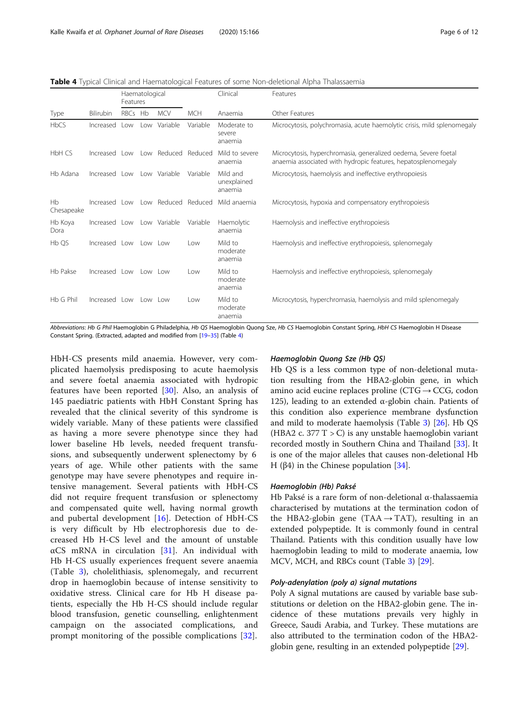| <b>Table 4</b> Typical Clinical and Haematological Features of some Non-deletional Alpha Thalassaemia |  |  |
|-------------------------------------------------------------------------------------------------------|--|--|
|                                                                                                       |  |  |

|                  |                            | Haematological<br>Features  |  |                                   | Clinical   | Features                           |                                                                                                                                  |
|------------------|----------------------------|-----------------------------|--|-----------------------------------|------------|------------------------------------|----------------------------------------------------------------------------------------------------------------------------------|
| Type             | Bilirubin                  | RBCs Hb                     |  | <b>MCV</b>                        | <b>MCH</b> | Anaemia                            | Other Features                                                                                                                   |
| <b>HbCS</b>      | Increased                  | $\sim$                      |  | Low Variable                      | Variable   | Moderate to<br>severe<br>anaemia   | Microcytosis, polychromasia, acute haemolytic crisis, mild splenomegaly                                                          |
| HbH CS           |                            |                             |  | Increased Low Low Reduced Reduced |            | Mild to severe<br>anaemia          | Microcytosis, hyperchromasia, generalized oedema, Severe foetal<br>anaemia associated with hydropic features, hepatosplenomegaly |
| Hb Adana         | Increased Low              |                             |  | Low Variable                      | Variable   | Mild and<br>unexplained<br>anaemia | Microcytosis, haemolysis and ineffective erythropoiesis                                                                          |
| Hb<br>Chesapeake | Increased                  | $\overline{\phantom{0}}$ ow |  | Low Reduced Reduced               |            | Mild anaemia                       | Microcytosis, hypoxia and compensatory erythropoiesis                                                                            |
| Hb Koya<br>Dora  | Increased Low Low Variable |                             |  |                                   | Variable   | Haemolytic<br>anaemia              | Haemolysis and ineffective erythropoiesis                                                                                        |
| Hb QS            | Increased Low              |                             |  | Low Low                           | Low        | Mild to<br>moderate<br>anaemia     | Haemolysis and ineffective erythropoiesis, splenomegaly                                                                          |
| Hb Pakse         | Increased Low              |                             |  | low low                           | Low        | Mild to<br>moderate<br>anaemia     | Haemolysis and ineffective erythropoiesis, splenomegaly                                                                          |
| Hb G Phil        | Increased Low              |                             |  | low low                           | Low        | Mild to<br>moderate<br>anaemia     | Microcytosis, hyperchromasia, haemolysis and mild splenomegaly                                                                   |

Abbreviations: Hb G Phil Haemoglobin G Philadelphia, Hb QS Haemoglobin Quong Sze, Hb CS Haemoglobin Constant Spring, HbH CS Haemoglobin H Disease Constant Spring. (Extracted, adapted and modified from [\[19](#page-10-0)–[35](#page-10-0)] (Table 4)

HbH-CS presents mild anaemia. However, very complicated haemolysis predisposing to acute haemolysis and severe foetal anaemia associated with hydropic features have been reported [\[30](#page-10-0)]. Also, an analysis of 145 paediatric patients with HbH Constant Spring has revealed that the clinical severity of this syndrome is widely variable. Many of these patients were classified as having a more severe phenotype since they had lower baseline Hb levels, needed frequent transfusions, and subsequently underwent splenectomy by 6 years of age. While other patients with the same genotype may have severe phenotypes and require intensive management. Several patients with HbH-CS did not require frequent transfusion or splenectomy and compensated quite well, having normal growth and pubertal development [[16\]](#page-10-0). Detection of HbH-CS is very difficult by Hb electrophoresis due to decreased Hb H-CS level and the amount of unstable  $\alpha$ CS mRNA in circulation [\[31](#page-10-0)]. An individual with Hb H-CS usually experiences frequent severe anaemia (Table [3](#page-4-0)), cholelithiasis, splenomegaly, and recurrent drop in haemoglobin because of intense sensitivity to oxidative stress. Clinical care for Hb H disease patients, especially the Hb H-CS should include regular blood transfusion, genetic counselling, enlightenment campaign on the associated complications, and prompt monitoring of the possible complications [[32\]](#page-10-0).

#### Haemoglobin Quong Sze (Hb QS)

Hb QS is a less common type of non-deletional mutation resulting from the HBA2-globin gene, in which amino acid eucine replaces proline ( $CTG \rightarrow CCG$ , codon 125), leading to an extended α-globin chain. Patients of this condition also experience membrane dysfunction and mild to moderate haemolysis (Table [3](#page-4-0)) [\[26\]](#page-10-0). Hb QS (HBA2 c. 377 T  $>$  C) is any unstable haemoglobin variant recorded mostly in Southern China and Thailand [[33\]](#page-10-0). It is one of the major alleles that causes non-deletional Hb H (β4) in the Chinese population  $[34]$  $[34]$ .

#### Haemoglobin (Hb) Paksé

Hb Paksé is a rare form of non-deletional α-thalassaemia characterised by mutations at the termination codon of the HBA2-globin gene (TAA  $\rightarrow$  TAT), resulting in an extended polypeptide. It is commonly found in central Thailand. Patients with this condition usually have low haemoglobin leading to mild to moderate anaemia, low MCV, MCH, and RBCs count (Table [3](#page-4-0)) [[29](#page-10-0)].

#### Poly-adenylation (poly a) signal mutations

Poly A signal mutations are caused by variable base substitutions or deletion on the HBA2-globin gene. The incidence of these mutations prevails very highly in Greece, Saudi Arabia, and Turkey. These mutations are also attributed to the termination codon of the HBA2 globin gene, resulting in an extended polypeptide [[29\]](#page-10-0).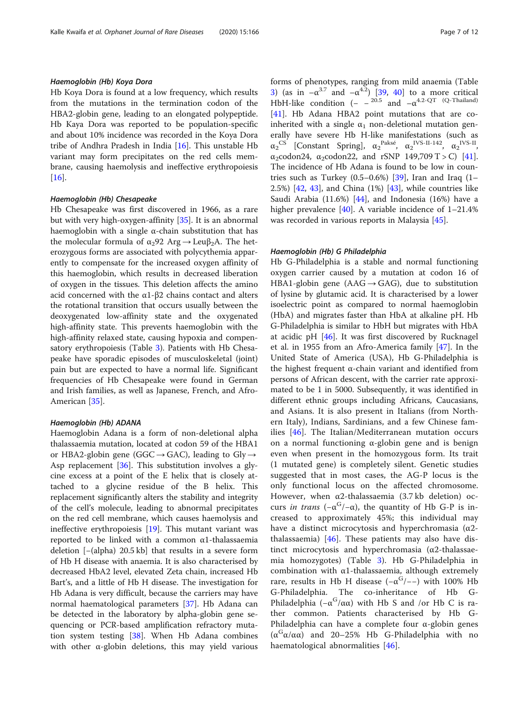#### Haemoglobin (Hb) Koya Dora

Hb Koya Dora is found at a low frequency, which results from the mutations in the termination codon of the HBA2-globin gene, leading to an elongated polypeptide. Hb Kaya Dora was reported to be population-specific and about 10% incidence was recorded in the Koya Dora tribe of Andhra Pradesh in India [[16\]](#page-10-0). This unstable Hb variant may form precipitates on the red cells membrane, causing haemolysis and ineffective erythropoiesis [[16\]](#page-10-0).

#### Haemoglobin (Hb) Chesapeake

Hb Chesapeake was first discovered in 1966, as a rare but with very high-oxygen-affinity [\[35](#page-10-0)]. It is an abnormal haemoglobin with a single α-chain substitution that has the molecular formula of  $\alpha_2$ 92 Arg  $\rightarrow$  Leu $\beta_2$ A. The heterozygous forms are associated with polycythemia apparently to compensate for the increased oxygen affinity of this haemoglobin, which results in decreased liberation of oxygen in the tissues. This deletion affects the amino acid concerned with the  $α1-β2$  chains contact and alters the rotational transition that occurs usually between the deoxygenated low-affinity state and the oxygenated high-affinity state. This prevents haemoglobin with the high-affinity relaxed state, causing hypoxia and compensatory erythropoiesis (Table [3](#page-4-0)). Patients with Hb Chesapeake have sporadic episodes of musculoskeletal (joint) pain but are expected to have a normal life. Significant frequencies of Hb Chesapeake were found in German and Irish families, as well as Japanese, French, and Afro-American [[35\]](#page-10-0).

#### Haemoglobin (Hb) ADANA

Haemoglobin Adana is a form of non-deletional alpha thalassaemia mutation, located at codon 59 of the HBA1 or HBA2-globin gene (GGC  $\rightarrow$  GAC), leading to Gly  $\rightarrow$ Asp replacement [[36\]](#page-10-0). This substitution involves a glycine excess at a point of the E helix that is closely attached to a glycine residue of the B helix. This replacement significantly alters the stability and integrity of the cell's molecule, leading to abnormal precipitates on the red cell membrane, which causes haemolysis and ineffective erythropoiesis [\[19\]](#page-10-0). This mutant variant was reported to be linked with a common α1-thalassaemia deletion [−(alpha) 20.5 kb] that results in a severe form of Hb H disease with anaemia. It is also characterised by decreased HbA2 level, elevated Zeta chain, increased Hb Bart's, and a little of Hb H disease. The investigation for Hb Adana is very difficult, because the carriers may have normal haematological parameters [[37\]](#page-10-0). Hb Adana can be detected in the laboratory by alpha-globin gene sequencing or PCR-based amplification refractory mutation system testing [[38\]](#page-10-0). When Hb Adana combines with other  $\alpha$ -globin deletions, this may yield various forms of phenotypes, ranging from mild anaemia (Table

[3\)](#page-4-0) (as in  $-\alpha^{3.7}$  and  $-\alpha^{4.2}$ ) [[39](#page-10-0), [40\]](#page-10-0) to a more critical HbH-like condition (-  $-$  <sup>20.5</sup> and  $-\alpha$ <sup>4.2-QT</sup> (Q-Thailand) [[41\]](#page-10-0). Hb Adana HBA2 point mutations that are coinherited with a single  $\alpha_1$  non-deletional mutation generally have severe Hb H-like manifestations (such as  $\alpha_2^{\text{CS}}$  [Constant Spring],  $\alpha_2^{\text{Paksé}}$ ,  $\alpha_2^{\text{IVS-II-142}}$ ,  $\alpha_2^{\text{IVS-II}}$  $\alpha_2$ codon24,  $\alpha_2$ codon22, and rSNP 149,709 T > C) [\[41](#page-10-0)]. The incidence of Hb Adana is found to be low in countries such as Turkey  $(0.5-0.6\%)$  [[39\]](#page-10-0), Iran and Iraq  $(1-$ 2.5%) [\[42](#page-10-0), [43\]](#page-10-0), and China (1%) [[43\]](#page-10-0), while countries like Saudi Arabia (11.6%) [[44\]](#page-10-0), and Indonesia (16%) have a higher prevalence  $[40]$  $[40]$ . A variable incidence of  $1-21.4\%$ was recorded in various reports in Malaysia [[45](#page-10-0)].

#### Haemoglobin (Hb) G Philadelphia

Hb G-Philadelphia is a stable and normal functioning oxygen carrier caused by a mutation at codon 16 of HBA1-globin gene ( $AAG \rightarrow GAG$ ), due to substitution of lysine by glutamic acid. It is characterised by a lower isoelectric point as compared to normal haemoglobin (HbA) and migrates faster than HbA at alkaline pH. Hb G-Philadelphia is similar to HbH but migrates with HbA at acidic pH [[46\]](#page-10-0). It was first discovered by Rucknagel et al. in 1955 from an Afro-America family [\[47\]](#page-10-0). In the United State of America (USA), Hb G-Philadelphia is the highest frequent α-chain variant and identified from persons of African descent, with the carrier rate approximated to be 1 in 5000. Subsequently, it was identified in different ethnic groups including Africans, Caucasians, and Asians. It is also present in Italians (from Northern Italy), Indians, Sardinians, and a few Chinese families [\[46](#page-10-0)]. The Italian/Mediterranean mutation occurs on a normal functioning α-globin gene and is benign even when present in the homozygous form. Its trait (1 mutated gene) is completely silent. Genetic studies suggested that in most cases, the ΑG-P locus is the only functional locus on the affected chromosome. However, when α2-thalassaemia (3.7 kb deletion) occurs in trans  $(-\alpha^{G}/-\alpha)$ , the quantity of Hb G-P is increased to approximately 45%; this individual may have a distinct microcytosis and hyperchromasia ( $α2$ thalassaemia) [[46](#page-10-0)]. These patients may also have distinct microcytosis and hyperchromasia (α2-thalassaemia homozygotes) (Table [3\)](#page-4-0). Hb G-Philadelphia in combination with α1-thalassaemia, although extremely rare, results in Hb H disease  $(-\alpha^{G}/-)$  with 100% Hb G-Philadelphia. The co-inheritance of Hb G-Philadelphia ( $-\alpha^{G}/\alpha\alpha$ ) with Hb S and /or Hb C is rather common. Patients characterised by Hb G-Philadelphia can have a complete four α-globin genes ( $\alpha^{G} \alpha / \alpha \alpha$ ) and 20–25% Hb G-Philadelphia with no haematological abnormalities [[46\]](#page-10-0).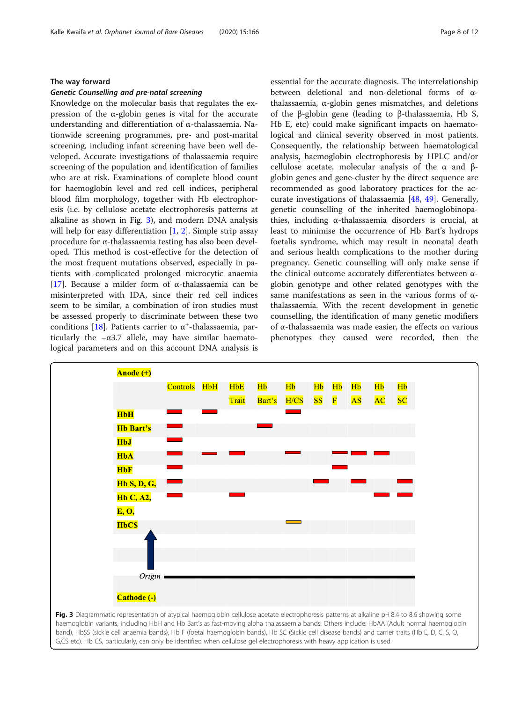#### The way forward

#### Genetic Counselling and pre-natal screening

Knowledge on the molecular basis that regulates the expression of the α-globin genes is vital for the accurate understanding and differentiation of α-thalassaemia. Nationwide screening programmes, pre- and post-marital screening, including infant screening have been well developed. Accurate investigations of thalassaemia require screening of the population and identification of families who are at risk. Examinations of complete blood count for haemoglobin level and red cell indices, peripheral blood film morphology, together with Hb electrophoresis (i.e. by cellulose acetate electrophoresis patterns at alkaline as shown in Fig. 3), and modern DNA analysis will help for easy differentiation  $[1, 2]$  $[1, 2]$  $[1, 2]$  $[1, 2]$ . Simple strip assay procedure for α-thalassaemia testing has also been developed. This method is cost-effective for the detection of the most frequent mutations observed, especially in patients with complicated prolonged microcytic anaemia [[17\]](#page-10-0). Because a milder form of α-thalassaemia can be misinterpreted with IDA, since their red cell indices seem to be similar, a combination of iron studies must be assessed properly to discriminate between these two conditions [\[18](#page-10-0)]. Patients carrier to  $\alpha^*$ -thalassaemia, particularly the  $-\alpha 3.7$  allele, may have similar haematological parameters and on this account DNA analysis is essential for the accurate diagnosis. The interrelationship between deletional and non-deletional forms of αthalassaemia, α-globin genes mismatches, and deletions of the β-globin gene (leading to β-thalassaemia, Hb S, Hb E, etc) could make significant impacts on haematological and clinical severity observed in most patients. Consequently, the relationship between haematological analysis, haemoglobin electrophoresis by HPLC and/or cellulose acetate, molecular analysis of the α and βglobin genes and gene-cluster by the direct sequence are recommended as good laboratory practices for the accurate investigations of thalassaemia [[48,](#page-10-0) [49](#page-10-0)]. Generally, genetic counselling of the inherited haemoglobinopathies, including α-thalassaemia disorders is crucial, at least to minimise the occurrence of Hb Bart's hydrops foetalis syndrome, which may result in neonatal death and serious health complications to the mother during pregnancy. Genetic counselling will only make sense if the clinical outcome accurately differentiates between αglobin genotype and other related genotypes with the same manifestations as seen in the various forms of αthalassaemia. With the recent development in genetic counselling, the identification of many genetic modifiers of α-thalassaemia was made easier, the effects on various phenotypes they caused were recorded, then the



haemoglobin variants, including HbH and Hb Bart's as fast-moving alpha thalassaemia bands. Others include: HbAA (Adult normal haemoglobin band), HbSS (sickle cell anaemia bands), Hb F (foetal haemoglobin bands), Hb SC (Sickle cell disease bands) and carrier traits (Hb E, D, C, S, O, G,CS etc). Hb CS, particularly, can only be identified when cellulose gel electrophoresis with heavy application is used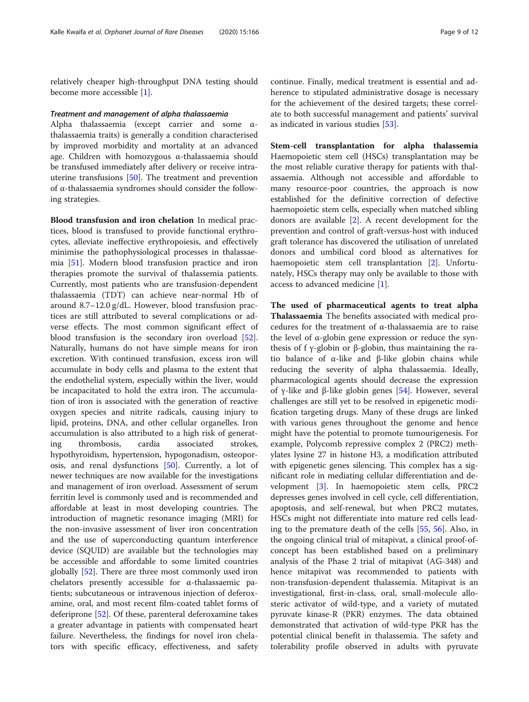relatively cheaper high-throughput DNA testing should become more accessible [\[1](#page-9-0)].

#### Treatment and management of alpha thalassaemia

Alpha thalassaemia (except carrier and some αthalassaemia traits) is generally a condition characterised by improved morbidity and mortality at an advanced age. Children with homozygous α-thalassaemia should be transfused immediately after delivery or receive intrauterine transfusions [\[50](#page-10-0)]. The treatment and prevention of α-thalassaemia syndromes should consider the following strategies.

Blood transfusion and iron chelation In medical practices, blood is transfused to provide functional erythrocytes, alleviate ineffective erythropoiesis, and effectively minimise the pathophysiological processes in thalassaemia [[51\]](#page-11-0). Modern blood transfusion practice and iron therapies promote the survival of thalassemia patients. Currently, most patients who are transfusion-dependent thalassaemia (TDT) can achieve near-normal Hb of around 8.7–12.0 g/dL. However, blood transfusion practices are still attributed to several complications or adverse effects. The most common significant effect of blood transfusion is the secondary iron overload [\[52](#page-11-0)]. Naturally, humans do not have simple means for iron excretion. With continued transfusion, excess iron will accumulate in body cells and plasma to the extent that the endothelial system, especially within the liver, would be incapacitated to hold the extra iron. The accumulation of iron is associated with the generation of reactive oxygen species and nitrite radicals, causing injury to lipid, proteins, DNA, and other cellular organelles. Iron accumulation is also attributed to a high risk of generating thrombosis, cardia associated strokes, hypothyroidism, hypertension, hypogonadism, osteoporosis, and renal dysfunctions [\[50](#page-10-0)]. Currently, a lot of newer techniques are now available for the investigations and management of iron overload. Assessment of serum ferritin level is commonly used and is recommended and affordable at least in most developing countries. The introduction of magnetic resonance imaging (MRI) for the non-invasive assessment of liver iron concentration and the use of superconducting quantum interference device (SQUID) are available but the technologies may be accessible and affordable to some limited countries globally [[52](#page-11-0)]. There are three most commonly used iron chelators presently accessible for α-thalassaemic patients; subcutaneous or intravenous injection of deferoxamine, oral, and most recent film-coated tablet forms of deferiprone [[52\]](#page-11-0). Of these, parenteral deferoxamine takes a greater advantage in patients with compensated heart failure. Nevertheless, the findings for novel iron chelators with specific efficacy, effectiveness, and safety

continue. Finally, medical treatment is essential and adherence to stipulated administrative dosage is necessary for the achievement of the desired targets; these correlate to both successful management and patients' survival as indicated in various studies [[53](#page-11-0)].

Stem-cell transplantation for alpha thalassemia Haemopoietic stem cell (HSCs) transplantation may be the most reliable curative therapy for patients with thalassaemia. Although not accessible and affordable to many resource-poor countries, the approach is now established for the definitive correction of defective haemopoietic stem cells, especially when matched sibling donors are available [[2\]](#page-10-0). A recent development for the prevention and control of graft-versus-host with induced graft tolerance has discovered the utilisation of unrelated donors and umbilical cord blood as alternatives for haemopoietic stem cell transplantation [\[2](#page-10-0)]. Unfortunately, HSCs therapy may only be available to those with access to advanced medicine [\[1](#page-9-0)].

The used of pharmaceutical agents to treat alpha Thalassaemia The benefits associated with medical procedures for the treatment of α-thalassaemia are to raise the level of α-globin gene expression or reduce the synthesis of f γ-globin or β-globin, thus maintaining the ratio balance of α-like and β-like globin chains while reducing the severity of alpha thalassaemia. Ideally, pharmacological agents should decrease the expression of γ-like and β-like globin genes [\[54\]](#page-11-0). However, several challenges are still yet to be resolved in epigenetic modification targeting drugs. Many of these drugs are linked with various genes throughout the genome and hence might have the potential to promote tumourigenesis. For example, Polycomb repressive complex 2 (PRC2) methylates lysine 27 in histone H3, a modification attributed with epigenetic genes silencing. This complex has a significant role in mediating cellular differentiation and development [\[3](#page-10-0)]. In haemopoietic stem cells, PRC2 depresses genes involved in cell cycle, cell differentiation, apoptosis, and self-renewal, but when PRC2 mutates, HSCs might not differentiate into mature red cells leading to the premature death of the cells [[55](#page-11-0), [56\]](#page-11-0). Also, in the ongoing clinical trial of mitapivat, a clinical proof-ofconcept has been established based on a preliminary analysis of the Phase 2 trial of mitapivat (AG-348) and hence mitapivat was recommended to patients with non-transfusion-dependent thalassemia. Mitapivat is an investigational, first-in-class, oral, small-molecule allosteric activator of wild-type, and a variety of mutated pyruvate kinase-R (PKR) enzymes. The data obtained demonstrated that activation of wild-type PKR has the potential clinical benefit in thalassemia. The safety and tolerability profile observed in adults with pyruvate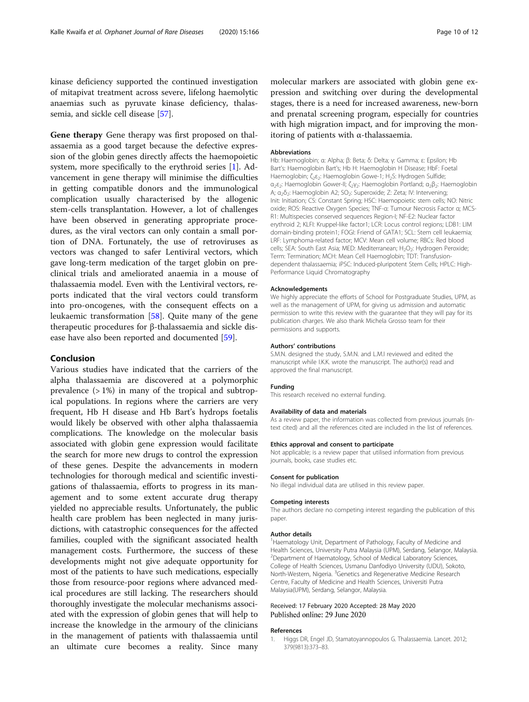<span id="page-9-0"></span>kinase deficiency supported the continued investigation of mitapivat treatment across severe, lifelong haemolytic anaemias such as pyruvate kinase deficiency, thalassemia, and sickle cell disease [\[57\]](#page-11-0).

Gene therapy Gene therapy was first proposed on thalassaemia as a good target because the defective expression of the globin genes directly affects the haemopoietic system, more specifically to the erythroid series [1]. Advancement in gene therapy will minimise the difficulties in getting compatible donors and the immunological complication usually characterised by the allogenic stem-cells transplantation. However, a lot of challenges have been observed in generating appropriate procedures, as the viral vectors can only contain a small portion of DNA. Fortunately, the use of retroviruses as vectors was changed to safer Lentiviral vectors, which gave long-term medication of the target globin on preclinical trials and ameliorated anaemia in a mouse of thalassaemia model. Even with the Lentiviral vectors, reports indicated that the viral vectors could transform into pro-oncogenes, with the consequent effects on a leukaemic transformation [[58\]](#page-11-0). Quite many of the gene therapeutic procedures for β-thalassaemia and sickle disease have also been reported and documented [[59\]](#page-11-0).

#### Conclusion

Various studies have indicated that the carriers of the alpha thalassaemia are discovered at a polymorphic prevalence (> 1%) in many of the tropical and subtropical populations. In regions where the carriers are very frequent, Hb H disease and Hb Bart's hydrops foetalis would likely be observed with other alpha thalassaemia complications. The knowledge on the molecular basis associated with globin gene expression would facilitate the search for more new drugs to control the expression of these genes. Despite the advancements in modern technologies for thorough medical and scientific investigations of thalassaemia, efforts to progress in its management and to some extent accurate drug therapy yielded no appreciable results. Unfortunately, the public health care problem has been neglected in many jurisdictions, with catastrophic consequences for the affected families, coupled with the significant associated health management costs. Furthermore, the success of these developments might not give adequate opportunity for most of the patients to have such medications, especially those from resource-poor regions where advanced medical procedures are still lacking. The researchers should thoroughly investigate the molecular mechanisms associated with the expression of globin genes that will help to increase the knowledge in the armoury of the clinicians in the management of patients with thalassaemia until an ultimate cure becomes a reality. Since many

molecular markers are associated with globin gene expression and switching over during the developmental stages, there is a need for increased awareness, new-born and prenatal screening program, especially for countries with high migration impact, and for improving the monitoring of patients with α-thalassaemia.

#### Abbreviations

Hb: Haemoglobin; α: Alpha; β: Beta; δ: Delta; γ: Gamma; ε: Epsilon; Hb Bart's: Haemoglobin Bart's; Hb H: Haemoglobin H Disease; HbF: Foetal Haemoglobin; ζ<sub>2</sub>ε<sub>2</sub>: Haemoglobin Gowe-1; H<sub>2</sub>S: Hydrogen Sulfide; α<sub>2</sub>ε<sub>2</sub>: Haemoglobin Gower-II; ζ<sub>2</sub>γ<sub>2</sub>: Haemoglobin Portland; α<sub>2</sub>β<sub>2</sub>: Haemoglobin A; α<sub>2</sub>δ<sub>2</sub>: Haemoglobin A2; SO<sub>2</sub>: Superoxide; Z: Zeta; IV: Intervening; Init: Initiation; CS: Constant Spring; HSC: Haemopoietic stem cells; NO: Nitric oxide; ROS: Reactive Oxygen Species; TNF-α: Tumour Necrosis Factor α; MCS-R1: Multispecies conserved sequences Region-I; NF-E2: Nuclear factor erythroid 2; KLFI: Kruppel-like factor1; LCR: Locus control regions; LDB1: LIM domain-binding protein1; FOGI: Friend of GATA1; SCL: Stem cell leukaemia; LRF: Lymphoma-related factor; MCV: Mean cell volume; RBCs: Red blood cells; SEA: South East Asia; MED: Mediterranean; H<sub>2</sub>O<sub>2</sub>: Hydrogen Peroxide; Term: Termination; MCH: Mean Cell Haemoglobin; TDT: Transfusiondependent thalassaemia; iPSC: Induced-pluripotent Stem Cells; HPLC: High-Performance Liquid Chromatography

#### Acknowledgements

We highly appreciate the efforts of School for Postgraduate Studies, UPM, as well as the management of UPM, for giving us admission and automatic permission to write this review with the guarantee that they will pay for its publication charges. We also thank Michela Grosso team for their permissions and supports.

#### Authors' contributions

S.M.N. designed the study, S.M.N. and L.M.I reviewed and edited the manuscript while I.K.K. wrote the manuscript. The author(s) read and approved the final manuscript.

#### Funding

This research received no external funding.

#### Availability of data and materials

As a review paper, the information was collected from previous journals (intext cited) and all the references cited are included in the list of references.

#### Ethics approval and consent to participate

Not applicable; is a review paper that utilised information from previous journals, books, case studies etc.

#### Consent for publication

No illegal individual data are utilised in this review paper.

#### Competing interests

The authors declare no competing interest regarding the publication of this paper.

#### Author details

<sup>1</sup>Haematology Unit, Department of Pathology, Faculty of Medicine and Health Sciences, University Putra Malaysia (UPM), Serdang, Selangor, Malaysia. 2 Department of Haematology, School of Medical Laboratory Sciences, College of Health Sciences, Usmanu Danfodiyo University (UDU), Sokoto, North-Western, Nigeria. <sup>3</sup> Genetics and Regenerative Medicine Research Centre, Faculty of Medicine and Health Sciences, Universiti Putra Malaysia(UPM), Serdang, Selangor, Malaysia.

#### Received: 17 February 2020 Accepted: 28 May 2020 Published online: 29 June 2020

#### References

1. Higgs DR, Engel JD, Stamatoyannopoulos G. Thalassaemia. Lancet. 2012; 379(9813):373–83.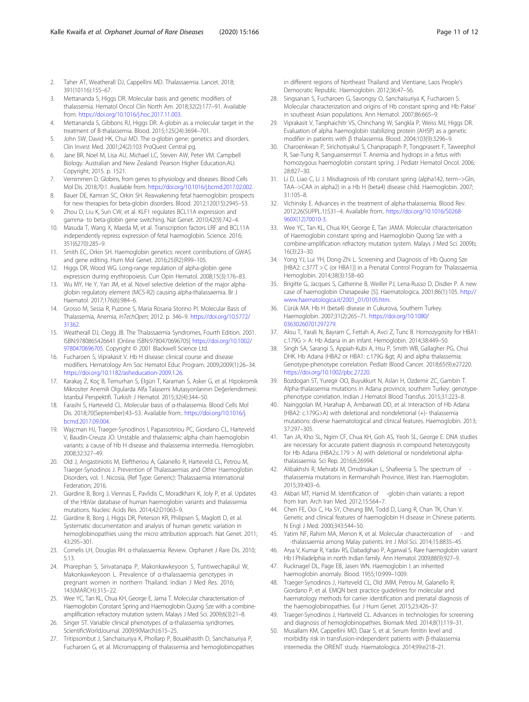- <span id="page-10-0"></span>2. Taher AT, Weatherall DJ, Cappellini MD. Thalassaemia. Lancet. 2018; 391(10116):155–67.
- Mettananda S, Higgs DR, Molecular basis and genetic modifiers of thalassemia. Hematol Oncol Clin North Am. 2018;32(2):177–91. Available from. <https://doi.org/10.1016/j.hoc.2017.11.003>.
- 4. Mettananda S, Gibbons RJ, Higgs DR. Α-globin as a molecular target in the treatment of Β-thalassemia. Blood. 2015;125(24):3694–701.
- 5. John SW, David HK, Chui MD. The α-globin gene: genetics and disorders. Clin Invest Med. 2001;24(2):103 ProQuest Central pg.
- 6. Jane BR, Noel M, Lisa AU, Michael LC, Steven AW, Peter VM. Campbell Biology. Australian and New Zealand: Pearson Higher Education.AU. Copyright; 2015. p. 1521.
- 7. Vernimmen D. Globins, from genes to physiology and diseases. Blood Cells Mol Dis. 2018;70:1. Available from. [https://doi.org/10.1016/j.bcmd.2017.02.002.](https://doi.org/10.1016/j.bcmd.2017.02.002)
- 8. Bauer DE, Kamran SC, Orkin SH. Reawakening fetal haemoglobin: prospects for new therapies for beta-globin disorders. Blood. 2012;120(15):2945–53.
- 9. Zhou D, Liu K, Sun CW, et al. KLF1 regulates BCL11A expression and gamma- to beta-globin gene switching. Nat Genet. 2010;42(9):742–4.
- 10. Masuda T, Wang X, Maeda M, et al. Transcription factors LRF and BCL11A independently repress expression of fetal haemoglobin. Science. 2016; 351(6270):285–9.
- 11. Smith EC, Orkin SH. Haemoglobin genetics: recent contributions of GWAS and gene editing. Hum Mol Genet. 2016;25(R2):R99–105.
- 12. Higgs DR, Wood WG. Long-range regulation of alpha-globin gene expression during erythropoiesis. Curr Opin Hematol. 2008;15(3):176–83.
- 13. Wu MY, He Y, Yan JM, et al. Novel selective deletion of the major alphaglobin regulatory element (MCS-R2) causing alpha-thalassaemia. Br J Haematol. 2017;176(6):984–6.
- 14. Grosso M, Sessa R, Puzone S, Maria Rosaria Storino PI. Molecular Basis of Thalassemia, Anemia, InTechOpen; 2012. p. 346–9. [https://doi.org/10.5772/](https://doi.org/10.5772/31362) [31362.](https://doi.org/10.5772/31362)
- 15. Weatherall DJ, Clegg JB. The Thalassaemia Syndromes, Fourth Edition. 2001. ISBN:9780865426641 |Online ISBN:9780470696705| [https://doi.org/10.1002/](https://doi.org/10.1002/9780470696705) [9780470696705](https://doi.org/10.1002/9780470696705). Copyright © 2001 Blackwell Science Ltd.
- 16. Fucharoen S, Viprakasit V. Hb H disease: clinical course and disease modifiers. Hematology Am Soc Hematol Educ Program. 2009;2009(1):26–34. <https://doi.org/10.1182/asheducation-2009.1.26>.
- 17. Karakaş Z, Koç B, Temurhan S, Elgün T, Karaman S, Asker G, et al. Hipokromik Mikrositer Anemili Olgularda Alfa Talasemi Mutasyonlarının Değerlendirmesi: İstanbul Perspektifi. Turkish J Hematol. 2015;32(4):344–50.
- 18. Farashi S, Harteveld CL. Molecular basis of α-thalassemia. Blood Cells Mol Dis. 2018;70(September):43–53. Available from:. [https://doi.org/10.1016/j.](https://doi.org/10.1016/j.bcmd.2017.09.004) [bcmd.2017.09.004.](https://doi.org/10.1016/j.bcmd.2017.09.004)
- 19. Wajcman HJ, Traeger-Synodinos I, Papassotiriou PC, Giordano CL, Harteveld V, Baudin-Creuza JO. Unstable and thalassemic alpha chain haemoglobin variants: a cause of Hb H disease and thalassemia intermedia. Hemoglobin. 2008;32:327–49.
- 20. Old J, Angastiniotis M, Eleftheriou A, Galanello R, Harteveld CL, Petrou M, Traeger-Synodinos J. Prevention of Thalassaemias and Other Haemoglobin Disorders, vol. 1. Nicosia, (Ref Type: Generic): Thalassaemia International Federation; 2016.
- 21. Giardine B, Borg J, Viennas E, Pavlidis C, Moradkhani K, Joly P, et al. Updates of the HbVar database of human haemoglobin variants and thalassemia mutations. Nucleic Acids Res. 2014;42:D1063–9.
- 22. Giardine B, Borg J, Higgs DR, Peterson KR, Philipsen S, Maglott D, et al. Systematic documentation and analysis of human genetic variation in hemoglobinopathies using the micro attribution approach. Nat Genet. 2011; 43:295–301.
- 23. Cornelis LH, Douglas RH. α-thalassaemia: Review. Orphanet J Rare Dis. 2010; 5:13.
- 24. Pharephan S, Sirivatanapa P, Makonkawkeyoon S, Tuntiwechapikul W, Makonkawkeyoon L. Prevalence of α-thalassaemia genotypes in pregnant women in northern Thailand. Indian J Med Res. 2016; 143(MARCH):315–22.
- 25. Wee YC, Tan KL, Chua KH, George E, Jama T. Molecular characterisation of Haemoglobin Constant Spring and Haemoglobin Quong Sze with a combineamplification refractory mutation system. Malays J Med Sci. 2009;6(3):21–8.
- 26. Singer ST. Variable clinical phenotypes of α-thalassemia syndromes. ScientificWorldJournal. 2009;9(March):615–25.
- 27. Tritipsombut J, Sanchaisuriya K, Phollarp P, Bouakhasith D, Sanchaisuriya P, Fucharoen G, et al. Micromapping of thalassemia and hemoglobinopathies

in different regions of Northeast Thailand and Vientiane, Laos People's Democratic Republic. Haemoglobin. 2012;36:47–56.

- 28. Singsanan S, Fucharoen G, Savongsy O, Sanchaisuriya K, Fucharoen S. Molecular characterization and origins of Hb constant spring and Hb Pakse' in southeast Asian populations. Ann Hematol. 2007;86:665–9.
- 29. Viprakasit V, Tanphaichitr VS, Chinchang W, Sangkla P, Weiss MJ, Higgs DR. Evaluation of alpha haemoglobin stabilizing protein (AHSP) as a genetic modifier in patients with β thalassemia. Blood. 2004;103(9):3296–9.
- 30. Charoenkwan P, Sirichotiyakul S, Chanprapaph P, Tongprasert F, Taweephol R, Sae-Tung R, Sanguansermsri T. Anemia and hydrops in a fetus with homozygous haemoglobin constant spring. J Pediatr Hematol Oncol. 2006; 28:827–30.
- 31. Li D, Liao C, Li J. Misdiagnosis of Hb constant spring (alpha142, term-->Gln, TAA-->CAA in alpha2) in a Hb H (beta4) disease child. Haemoglobin. 2007; 31:105–8.
- 32. Vichinsky E. Advances in the treatment of alpha-thalassemia. Blood Rev. 2012;26(SUPPL.1):S31–4. Available from:. [https://doi.org/10.1016/S0268-](https://doi.org/10.1016/S0268-960X(12)70010-3) [960X\(12\)70010-3.](https://doi.org/10.1016/S0268-960X(12)70010-3)
- 33. Wee YC, Tan KL, Chua KH, George E, Tan JAMA. Molecular characterisation of Haemoglobin constant spring and Haemoglobin Quong Sze with a combine-amplification refractory mutation system. Malays J Med Sci. 2009b; 16(3):23–30.
- 34. Yong YJ, Lui YH, Dong-Zhi L. Screening and Diagnosis of Hb Quong Sze [HBA2: c.377T > C (or HBA1)] in a Prenatal Control Program for Thalassaemia. Hemoglobin. 2014;38(3):158–60.
- 35. Brigitte G, Jacques S, Catherine B, Weiller PJ, Lena-Russo D, Disdier P. A new case of haemoglobin Chesapeake [5]. Haematologica. 2001;86(1):105. [http://](http://www.haematologica.it/2001_01/0105.htm) [www.haematologica.it/2001\\_01/0105.htm.](http://www.haematologica.it/2001_01/0105.htm)
- 36. Cürük MA. Hb H (beta4) disease in Cukurova, Southern Turkey. Haemoglobin. 2007;31(2):265–71. [https://doi.org/10.1080/](https://doi.org/10.1080/03630260701297279) [03630260701297279.](https://doi.org/10.1080/03630260701297279)
- 37. Aksu T, Yarali N, Bayram C, Fettah A, Avci Z, Tunc B. Homozygosity for HBA1: c.179G > A: Hb Adana in an infant. Hemoglobin. 2014;38:449–50.
- 38. Singh SA, Sarangi S, Appiah-Kubi A, Hsu P, Smith WB, Gallagher PG, Chui DHK. Hb Adana (HBA2 or HBA1: c.179G > A) and alpha thalassemia: Genotype-phenotype correlation. Pediatr Blood Cancer. 2018;65(9):e27220. <https://doi.org/10.1002/pbc.27220>.
- 39. Bozdogan ST, Yuregir OO, Buyukkurt N, Aslan H, Ozdemir ZC, Gambin T. Alpha-thalassemia mutations in Adana province, southern Turkey: genotypephenotype correlation. Indian J Hematol Blood Transfus. 2015;31:223–8.
- 40. Nainggolan IM, Harahap A, Ambarwati DD, et al. Interaction of Hb Adana (HBA2: c.179G>A) with deletional and nondeletional (+)- thalassemia mutations: diverse haematological and clinical features. Haemoglobin. 2013; 37:297–305.
- 41. Tan JA, Kho SL, Ngim CF, Chua KH, Goh AS, Yeoh SL, George E. DNA studies are necessary for accurate patient diagnosis in compound heterozygosity for Hb Adana (HBA2:c.179 > A) with deletional or nondeletional alphathalassaemia. Sci Rep. 2016;6:26994.
- 42. Alibakhshi R, Mehrabi M, Omidniakan L, Shafieenia S. The spectrum of thalassemia mutations in Kermanshah Province, West Iran. Haemoglobin. 2015;39:403–6.
- 43. Akbari MT, Hamid M. Identification of -globin chain variants: a report from Iran. Arch Iran Med. 2012;15:564–7.
- 44. Chen FE, Ooi C, Ha SY, Cheung BM, Todd D, Liang R, Chan TK, Chan V. Genetic and clinical features of haemoglobin H disease in Chinese patients. N Engl J Med. 2000;343:544–50.
- 45. Yatim NF, Rahim MA, Menon K, et al. Molecular characterization of and -thalassaemia among Malay patients. Int J Mol Sci. 2014;15:8835–45.
- 46. Arya V, Kumar R, Yadav RS, Dabadghao P, Agarwal S. Rare haemoglobin variant Hb I Philadelphia in north Indian family. Ann Hematol. 2009;88(9):927–9.
- 47. Rucknagel DL, Page EB, Jasen WN. Haemoglobin I: an inherited haemoglobin anomaly. Blood. 1955;10:999–1009.
- 48. Traeger-Synodinos J, Harteveld CL, Old JMM, Petrou M, Galanello R, Giordano P, et al. EMQN best practice guidelines for molecular and haematology methods for carrier identification and prenatal diagnosis of the haemoglobinopathies. Eur J Hum Genet. 2015;23:426–37.
- 49. Traeger-Synodinos J, Harteveld CL. Advances in technologies for screening and diagnosis of hemoglobinopathies. Biomark Med. 2014;8(1):119–31.
- 50. Musallam KM, Cappellini MD, Daar S, et al. Serum ferritin level and morbidity risk in transfusion-independent patients with β-thalassemia intermedia: the ORIENT study. Haematologica. 2014;99:e218–21.